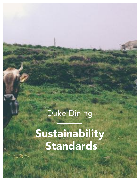# Duke Dining

Sustainability Standards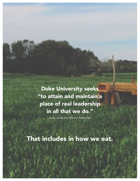Duke University seeks "to attain and maintain a place of real leadership in all that we do."

-Duke University Mission Statement

That includes in how we eat.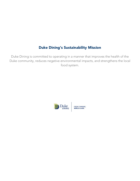## Duke Dining's Sustainability Mission

Duke Dining is committed to operating in a manner that improves the health of the Duke community, reduces negative environmental impacts, and strengthens the local food system.



FRESH THINKING.<br>WORLD CLASS.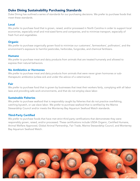## Duke Dining Sustainability Purchasing Standards

Duke Dining has outlined a series of standards for our purchasing decisions. We prefer to purchase foods that meet these standards.

#### Local

We prefer to purchase food that is grown, raised, and/or processed in North Carolina in order to support local economies, especially small and mid-sized farms and companies, and to minimize transport, especially of fresh fruit and vegetables.

#### **Organic**

We prefer to purchase organically grown food to minimize our customers', farmworkers', pollinators', and the environment's exposure to harmful pesticides, herbicides, fungicides, and chemical fertilizers.

#### Humane

We prefer to purchase meat and dairy products from animals that are treated humanely and allowed to express their natural behaviors.

#### No Antibiotics or Hormones

We prefer to purchase meat and dairy products from animals that were never given hormones or subtherapeutic antibiotics (unless sick and under the advice of a veterinarian).

#### Fair

We prefer to purchase food that is grown by businesses that treat their workers fairly, complying with all labor laws and providing safe work environments, and that do not employ slave labor.

#### Sustainable Fisheries

We prefer to purchase seafood that is responsibly caught by fisheries that do not practice overfishing, catching bycatch, or use slave labor. We prefer to purchase seafood that is certified by the Marine Stewardship Council and/or meets the Monterrey Bay Aquarium Seafood Watch standards.

#### Third-Party Certified

We prefer to purchase foods that have met strict third party certifications that demonstrate they were responsibly grown, raised, and/or processed. These certifications include USDA Organic, Certified Humane, Animal Welfare Approved, Global Animal Partnership, Fair Trade, Marine Stewardship Council, and Monterrey Bay Aquarium Seafood Watch.

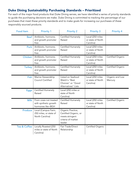## Duke Dining Sustainability Purchasing Standards – Prioritized

For each of the major food products that Duke Dining serves, we have identified a series of priority standards to guide the purchasing decisions we make. Duke Dining is committed to tracking the percentage of our purchases that meet these priority standards and to make goals for increasing our purchases of these responsibly sourced products.

| <b>Food Item</b> | <b>Priority 1</b>                                                    | <b>Priority 2</b>                                                                             | <b>Priority 3</b>                                  | Priority 4                 |
|------------------|----------------------------------------------------------------------|-----------------------------------------------------------------------------------------------|----------------------------------------------------|----------------------------|
| <b>Beef</b>      | Antibiotic, hormone,<br>and growth promoter<br>free                  | Certified Humanely<br>Raised                                                                  | Local (250 miles<br>or state of North<br>Carolina) |                            |
| Pork             | Antibiotic, hormone,<br>and growth promoter<br>free                  | Certified Humanely<br>Raised                                                                  | Local (250 miles<br>or state of North<br>Carolina) |                            |
| Chicken          | Antibiotic, hormone,<br>and growth promoter<br>free                  | Certified Humanely<br>Raised                                                                  | Local (250 miles<br>or state of North<br>Carolina) | Certified Organic          |
| <b>Turkey</b>    | Antibiotic, hormone,<br>and growth promoter<br>free                  | Certified Humanely<br>Raised                                                                  | Local (250 miles<br>or state of North<br>Carolina) | Certified Organic          |
| Fish             | Marine Stewardship<br><b>Council Certified</b>                       | Listed on Seafood<br>Watch's "Best<br>Choices" or "Good<br>Alternatives" Lists                | Local (250 miles<br>or state of North<br>Carolina) | Organic and Low<br>Mercury |
| <b>Eggs</b>      | Certified Humanely<br>Raised                                         | Local (250 miles or<br>state of North<br>Carolina)                                            |                                                    |                            |
| <b>Milk</b>      | From cows not treated<br>with synthetic growth<br>hormones like rBGH | Certified Humanely<br>Raised                                                                  | Local (250 miles<br>or state of North<br>Carolina) | Certified Organic          |
| Produce          | Local (Campus Farm,<br>250 miles, or state of<br>North Carolina)     | Organic Practice,<br>Certified Organic, or<br>meets stringent<br>criteria of market<br>leader |                                                    |                            |
| Tea & Coffee     | Locally Roasted (250<br>miles or state of North<br>Carolina)         | Fair Trade/Direct<br>Relationship                                                             | Certified Organic                                  |                            |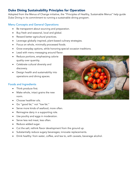## Duke Dining Sustainability Principles for Operation

Adopted from the Menus of Change initiative, the "Principles of Healthy, Sustainable Menus" help guide Duke Dining in its commitment to running a sustainable dining program.

#### Menu Concepts and General Operations

- Be transparent about sourcing and preparation.
- Buy fresh and seasonal, local and global.
- Reward better agricultural practices.
- Leverage globally inspired, plant-based culinary strategies.
- Focus on whole, minimally processed foods.
- Grow everyday options, while honoring special occasion traditions.
- Lead with menu messaging around flavor.
- Reduce portions, emphasizing calorie quality over quantity.
- Celebrate cultural diversity and discovery.
- Design health and sustainability into operations and dining spaces.

#### Foods and Ingredients

- Think produce first.
- Make whole, intact grains the new norm.
- Choose healthier oils.
- Go "good fat," not "low fat."
- Serve more kinds of seafood, more often.
- Reimagine dairy in a supporting role.
- Use poultry and eggs in moderation.
- Serve less red meat, less often.
- Reduce added sugar.
- Cut the salt; rethink flavor development from the ground up.
- Substantially reduce sugary beverages; innovate replacements.
- Drink healthy: from water, coffee, and tea to, with caveats, beverage alcohol.